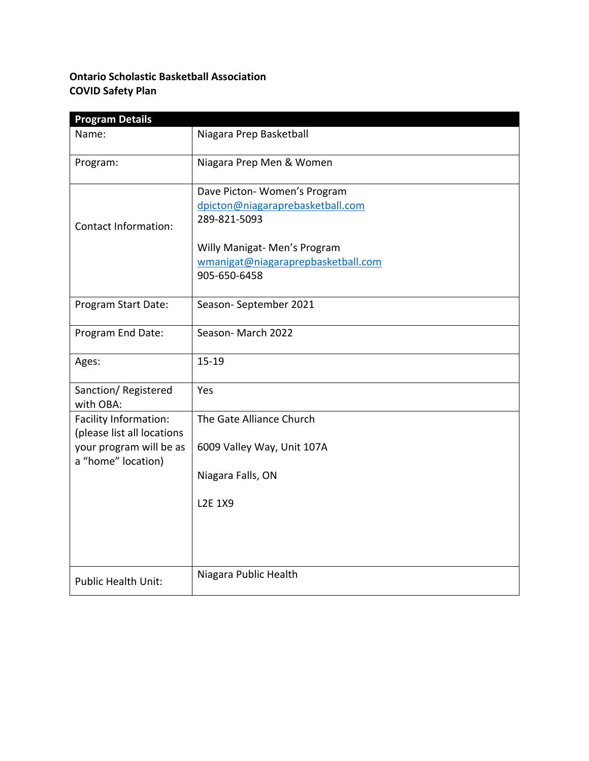# **Ontario Scholastic Basketball Association COVID Safety Plan**

| <b>Program Details</b>                              |                                                                                    |
|-----------------------------------------------------|------------------------------------------------------------------------------------|
| Name:                                               | Niagara Prep Basketball                                                            |
| Program:                                            | Niagara Prep Men & Women                                                           |
| <b>Contact Information:</b>                         | Dave Picton-Women's Program<br>dpicton@niagaraprebasketball.com<br>289-821-5093    |
|                                                     | Willy Manigat- Men's Program<br>wmanigat@niagaraprepbasketball.com<br>905-650-6458 |
| Program Start Date:                                 | Season-September 2021                                                              |
| Program End Date:                                   | Season-March 2022                                                                  |
| Ages:                                               | $15 - 19$                                                                          |
| Sanction/Registered<br>with OBA:                    | Yes                                                                                |
| Facility Information:<br>(please list all locations | The Gate Alliance Church                                                           |
| your program will be as<br>a "home" location)       | 6009 Valley Way, Unit 107A                                                         |
|                                                     | Niagara Falls, ON                                                                  |
|                                                     | <b>L2E 1X9</b>                                                                     |
|                                                     | Niagara Public Health                                                              |
| <b>Public Health Unit:</b>                          |                                                                                    |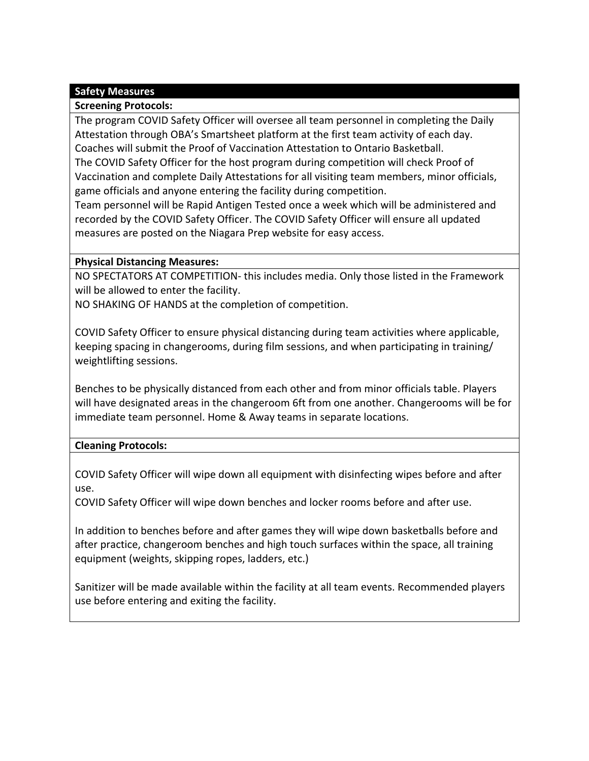## **Safety Measures**

### **Screening Protocols:**

The program COVID Safety Officer will oversee all team personnel in completing the Daily Attestation through OBA's Smartsheet platform at the first team activity of each day. Coaches will submit the Proof of Vaccination Attestation to Ontario Basketball. The COVID Safety Officer for the host program during competition will check Proof of Vaccination and complete Daily Attestations for all visiting team members, minor officials, game officials and anyone entering the facility during competition.

Team personnel will be Rapid Antigen Tested once a week which will be administered and recorded by the COVID Safety Officer. The COVID Safety Officer will ensure all updated measures are posted on the Niagara Prep website for easy access.

### **Physical Distancing Measures:**

NO SPECTATORS AT COMPETITION- this includes media. Only those listed in the Framework will be allowed to enter the facility.

NO SHAKING OF HANDS at the completion of competition.

COVID Safety Officer to ensure physical distancing during team activities where applicable, keeping spacing in changerooms, during film sessions, and when participating in training/ weightlifting sessions.

Benches to be physically distanced from each other and from minor officials table. Players will have designated areas in the changeroom 6ft from one another. Changerooms will be for immediate team personnel. Home & Away teams in separate locations.

### **Cleaning Protocols:**

COVID Safety Officer will wipe down all equipment with disinfecting wipes before and after use.

COVID Safety Officer will wipe down benches and locker rooms before and after use.

In addition to benches before and after games they will wipe down basketballs before and after practice, changeroom benches and high touch surfaces within the space, all training equipment (weights, skipping ropes, ladders, etc.)

Sanitizer will be made available within the facility at all team events. Recommended players use before entering and exiting the facility.